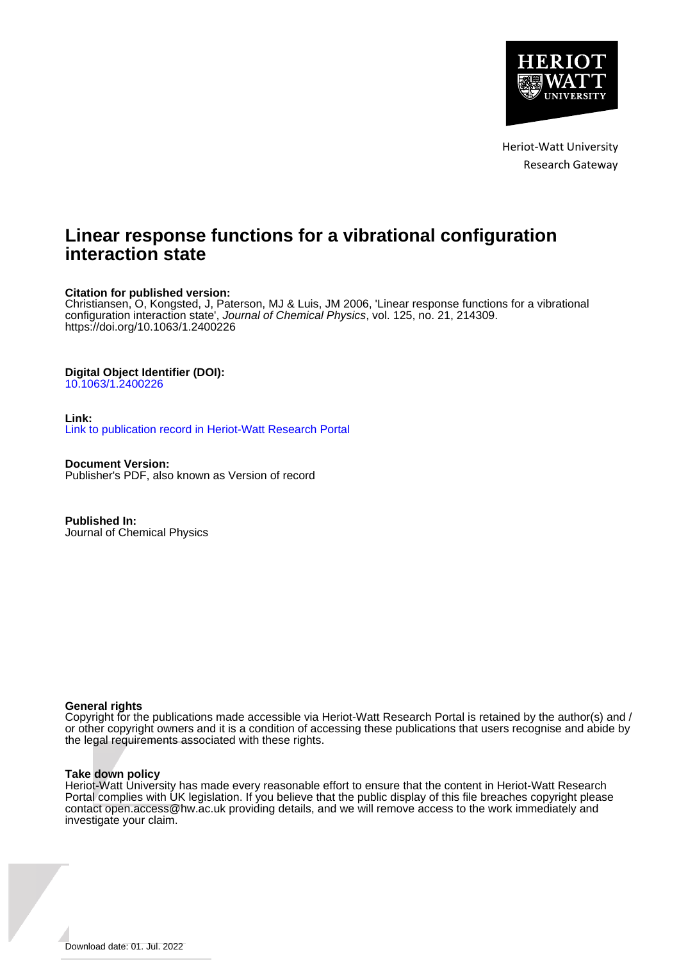

Heriot-Watt University Research Gateway

# **Linear response functions for a vibrational configuration interaction state**

## **Citation for published version:**

Christiansen, O, Kongsted, J, Paterson, MJ & Luis, JM 2006, 'Linear response functions for a vibrational configuration interaction state', Journal of Chemical Physics, vol. 125, no. 21, 214309. <https://doi.org/10.1063/1.2400226>

## **Digital Object Identifier (DOI):**

[10.1063/1.2400226](https://doi.org/10.1063/1.2400226)

## **Link:**

[Link to publication record in Heriot-Watt Research Portal](https://researchportal.hw.ac.uk/en/publications/8c829c2e-e55b-44d0-b6be-39b8aa0279ae)

**Document Version:** Publisher's PDF, also known as Version of record

**Published In:** Journal of Chemical Physics

## **General rights**

Copyright for the publications made accessible via Heriot-Watt Research Portal is retained by the author(s) and / or other copyright owners and it is a condition of accessing these publications that users recognise and abide by the legal requirements associated with these rights.

## **Take down policy**

Heriot-Watt University has made every reasonable effort to ensure that the content in Heriot-Watt Research Portal complies with UK legislation. If you believe that the public display of this file breaches copyright please contact open.access@hw.ac.uk providing details, and we will remove access to the work immediately and investigate your claim.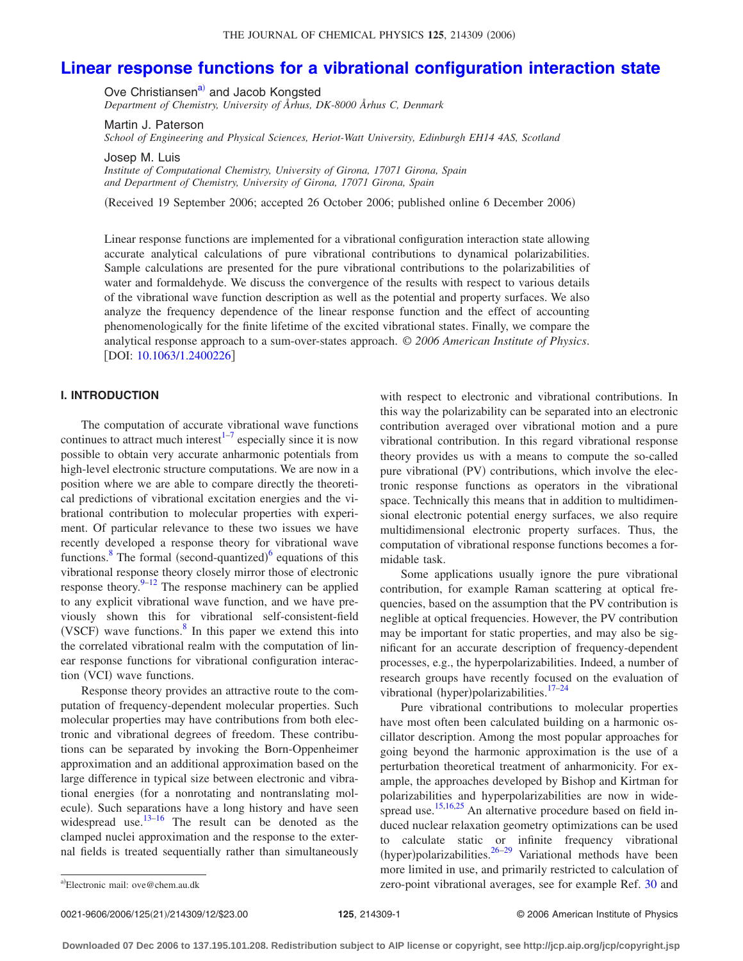## **[Linear response functions for a vibrational configuration interaction state](http://dx.doi.org/10.1063/1.2400226)**

Ove Christiansen<sup>a)</sup> and Jacob Kongsted

*Department of Chemistry, University of Århus, DK-8000 Århus C, Denmark*

Martin J. Paterson

*School of Engineering and Physical Sciences, Heriot-Watt University, Edinburgh EH14 4AS, Scotland*

Josep M. Luis *Institute of Computational Chemistry, University of Girona, 17071 Girona, Spain and Department of Chemistry, University of Girona, 17071 Girona, Spain*

Received 19 September 2006; accepted 26 October 2006; published online 6 December 2006-

Linear response functions are implemented for a vibrational configuration interaction state allowing accurate analytical calculations of pure vibrational contributions to dynamical polarizabilities. Sample calculations are presented for the pure vibrational contributions to the polarizabilities of water and formaldehyde. We discuss the convergence of the results with respect to various details of the vibrational wave function description as well as the potential and property surfaces. We also analyze the frequency dependence of the linear response function and the effect of accounting phenomenologically for the finite lifetime of the excited vibrational states. Finally, we compare the analytical response approach to a sum-over-states approach. © *2006 American Institute of Physics*. [DOI: [10.1063/1.2400226](http://dx.doi.org/10.1063/1.2400226)]

## **I. INTRODUCTION**

The computation of accurate vibrational wave functions continues to attract much interest $1^{-7}$  $1^{-7}$  $1^{-7}$  especially since it is now possible to obtain very accurate anharmonic potentials from high-level electronic structure computations. We are now in a position where we are able to compare directly the theoretical predictions of vibrational excitation energies and the vibrational contribution to molecular properties with experiment. Of particular relevance to these two issues we have recently developed a response theory for vibrational wave functions.<sup>8</sup> The formal (second-quantized)<sup>[6](#page-12-3)</sup> equations of this vibrational response theory closely mirror those of electronic response theory. $9-12$  The response machinery can be applied to any explicit vibrational wave function, and we have previously shown this for vibrational self-consistent-field (VSCF) wave functions. $8$  In this paper we extend this into the correlated vibrational realm with the computation of linear response functions for vibrational configuration interaction (VCI) wave functions.

Response theory provides an attractive route to the computation of frequency-dependent molecular properties. Such molecular properties may have contributions from both electronic and vibrational degrees of freedom. These contributions can be separated by invoking the Born-Oppenheimer approximation and an additional approximation based on the large difference in typical size between electronic and vibrational energies (for a nonrotating and nontranslating molecule). Such separations have a long history and have seen widespread use. $13-16$  $13-16$  The result can be denoted as the clamped nuclei approximation and the response to the external fields is treated sequentially rather than simultaneously

with respect to electronic and vibrational contributions. In this way the polarizability can be separated into an electronic contribution averaged over vibrational motion and a pure vibrational contribution. In this regard vibrational response theory provides us with a means to compute the so-called pure vibrational (PV) contributions, which involve the electronic response functions as operators in the vibrational space. Technically this means that in addition to multidimensional electronic potential energy surfaces, we also require multidimensional electronic property surfaces. Thus, the computation of vibrational response functions becomes a formidable task.

Some applications usually ignore the pure vibrational contribution, for example Raman scattering at optical frequencies, based on the assumption that the PV contribution is neglible at optical frequencies. However, the PV contribution may be important for static properties, and may also be significant for an accurate description of frequency-dependent processes, e.g., the hyperpolarizabilities. Indeed, a number of research groups have recently focused on the evaluation of vibrational (hyper)polarizabilities.<sup>17-[24](#page-12-9)</sup>

Pure vibrational contributions to molecular properties have most often been calculated building on a harmonic oscillator description. Among the most popular approaches for going beyond the harmonic approximation is the use of a perturbation theoretical treatment of anharmonicity. For example, the approaches developed by Bishop and Kirtman for polarizabilities and hyperpolarizabilities are now in wide-spread use.<sup>15[,16,](#page-12-7)[25](#page-12-11)</sup> An alternative procedure based on field induced nuclear relaxation geometry optimizations can be used to calculate static or infinite frequency vibrational (hyper)polarizabilities.  $26-29$  Variational methods have been more limited in use, and primarily restricted to calculation of zero-point vibrational averages, see for example Ref. [30](#page-12-14) and

<span id="page-1-0"></span>Electronic mail: ove@chem.au.dk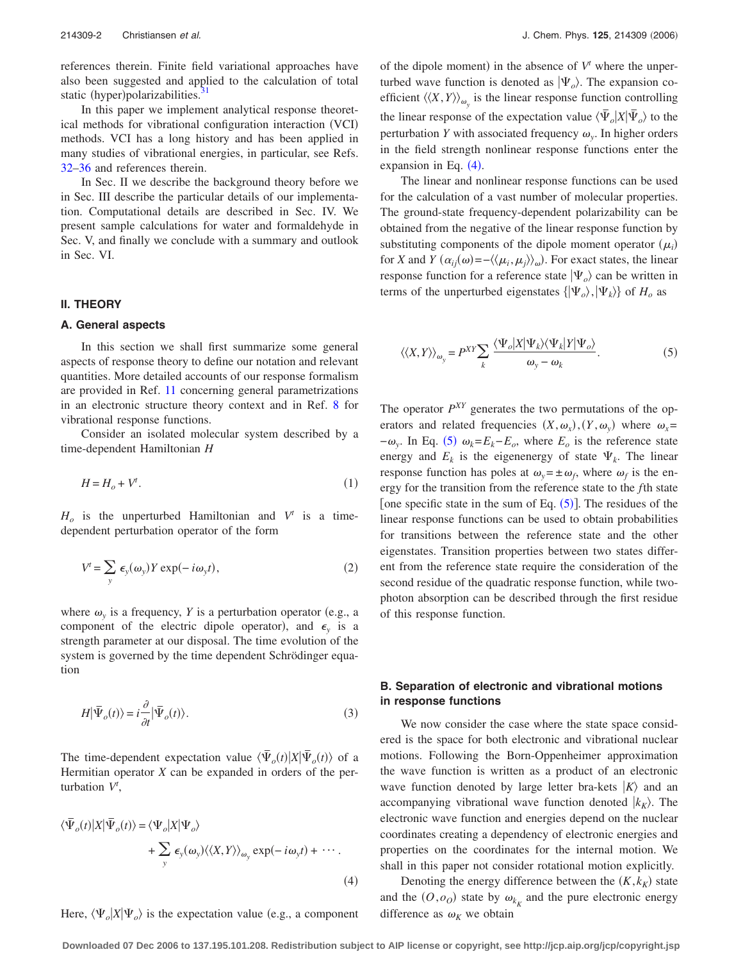references therein. Finite field variational approaches have also been suggested and applied to the calculation of total static (hyper)polarizabilities.<sup>31</sup>

In this paper we implement analytical response theoretical methods for vibrational configuration interaction (VCI) methods. VCI has a long history and has been applied in many studies of vibrational energies, in particular, see Refs. [32](#page-12-16)[–36](#page-12-17) and references therein.

In Sec. II we describe the background theory before we in Sec. III describe the particular details of our implementation. Computational details are described in Sec. IV. We present sample calculations for water and formaldehyde in Sec. V, and finally we conclude with a summary and outlook in Sec. VI.

#### **II. THEORY**

#### **A. General aspects**

In this section we shall first summarize some general aspects of response theory to define our notation and relevant quantities. More detailed accounts of our response formalism are provided in Ref. [11](#page-12-18) concerning general parametrizations in an electronic structure theory context and in Ref. [8](#page-12-2) for vibrational response functions.

Consider an isolated molecular system described by a time-dependent Hamiltonian *H*

$$
H = H_o + V^t. \tag{1}
$$

 $H_o$  is the unperturbed Hamiltonian and  $V^t$  is a timedependent perturbation operator of the form

$$
V' = \sum_{y} \epsilon_{y}(\omega_{y}) Y \exp(-i\omega_{y}t), \qquad (2)
$$

where  $\omega_y$  is a frequency, *Y* is a perturbation operator (e.g., a component of the electric dipole operator), and  $\epsilon_y$  is a strength parameter at our disposal. The time evolution of the system is governed by the time dependent Schrödinger equation

$$
H|\bar{\Psi}_o(t)\rangle = i\frac{\partial}{\partial t}|\bar{\Psi}_o(t)\rangle.
$$
 (3)

The time-dependent expectation value  $\langle \bar{\Psi}_o(t) | X | \bar{\Psi}_o(t) \rangle$  of a Hermitian operator *X* can be expanded in orders of the perturbation *V<sup>t</sup>* ,

<span id="page-2-0"></span>
$$
\langle \bar{\Psi}_o(t) | X | \bar{\Psi}_o(t) \rangle = \langle \Psi_o | X | \Psi_o \rangle + \sum_{y} \epsilon_y(\omega_y) \langle \langle X, Y \rangle \rangle_{\omega_y} \exp(-i\omega_y t) + \cdots.
$$
\n(4)

Here,  $\langle \Psi_o | X | \Psi_o \rangle$  is the expectation value (e.g., a component

of the dipole moment) in the absence of  $V^t$  where the unperturbed wave function is denoted as  $|\Psi_{o}\rangle$ . The expansion coefficient  $\langle \langle X, Y \rangle \rangle_{\omega_y}$  is the linear response function controlling the linear response of the expectation value  $\langle \bar{\Psi}_o | X | \bar{\Psi}_o \rangle$  to the perturbation *Y* with associated frequency  $\omega_y$ . In higher orders in the field strength nonlinear response functions enter the expansion in Eq.  $(4)$  $(4)$  $(4)$ .

The linear and nonlinear response functions can be used for the calculation of a vast number of molecular properties. The ground-state frequency-dependent polarizability can be obtained from the negative of the linear response function by substituting components of the dipole moment operator  $(\mu_i)$ for *X* and *Y*  $(\alpha_{ij}(\omega) = -\langle\langle \mu_i, \mu_j \rangle\rangle_{\omega})$ . For exact states, the linear response function for a reference state  $|\Psi_{o}\rangle$  can be written in terms of the unperturbed eigenstates  $\{|\Psi_o\rangle, |\Psi_k\rangle\}$  of  $H_o$  as

<span id="page-2-1"></span>
$$
\langle \langle X, Y \rangle \rangle_{\omega_y} = P^{XY} \sum_{k} \frac{\langle \Psi_o | X | \Psi_k \rangle \langle \Psi_k | Y | \Psi_o \rangle}{\omega_y - \omega_k}.
$$
 (5)

The operator  $P^{XY}$  generates the two permutations of the operators and related frequencies  $(X, \omega_x)$ ,  $(Y, \omega_y)$  where  $\omega_x =$  $-\omega_y$ . In Eq. ([5](#page-2-1))  $\omega_k = E_k - E_o$ , where  $E_o$  is the reference state energy and  $E_k$  is the eigenenergy of state  $\Psi_k$ . The linear response function has poles at  $\omega_y = \pm \omega_f$ , where  $\omega_f$  is the energy for the transition from the reference state to the *f*th state [one specific state in the sum of Eq.  $(5)$  $(5)$  $(5)$ ]. The residues of the linear response functions can be used to obtain probabilities for transitions between the reference state and the other eigenstates. Transition properties between two states different from the reference state require the consideration of the second residue of the quadratic response function, while twophoton absorption can be described through the first residue of this response function.

## **B. Separation of electronic and vibrational motions in response functions**

We now consider the case where the state space considered is the space for both electronic and vibrational nuclear motions. Following the Born-Oppenheimer approximation the wave function is written as a product of an electronic wave function denoted by large letter bra-kets  $|K\rangle$  and an accompanying vibrational wave function denoted  $|k_{K}\rangle$ . The electronic wave function and energies depend on the nuclear coordinates creating a dependency of electronic energies and properties on the coordinates for the internal motion. We shall in this paper not consider rotational motion explicitly.

Denoting the energy difference between the  $(K, k_K)$  state and the  $(O, o<sub>O</sub>)$  state by  $\omega_{k_K}$  and the pure electronic energy difference as  $\omega_K$  we obtain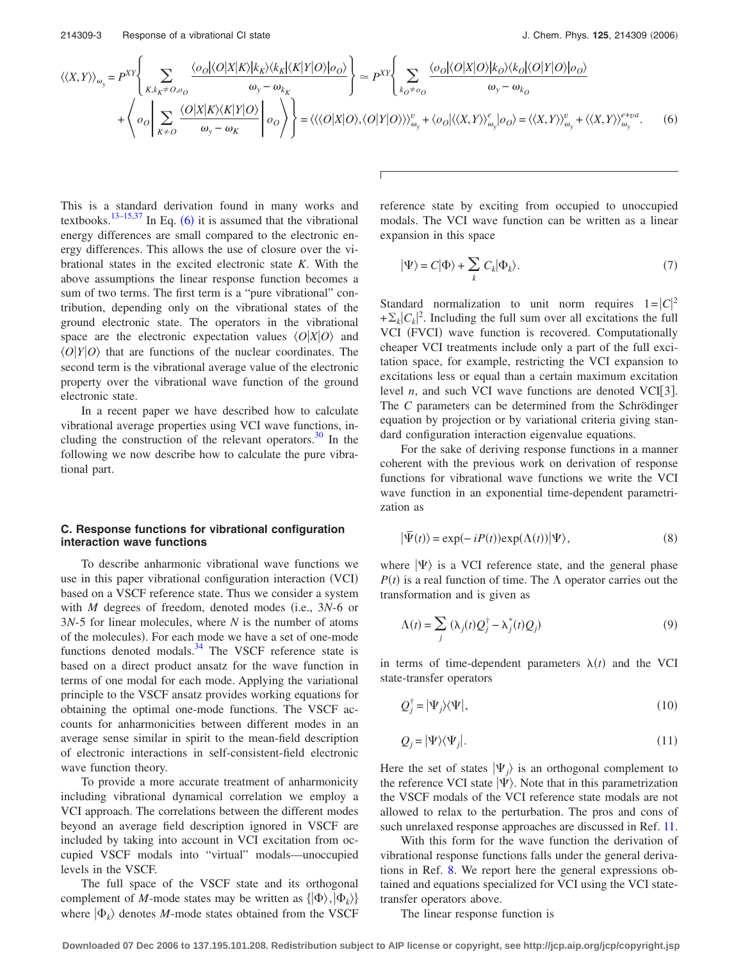<span id="page-3-0"></span>
$$
\langle\langle X,Y\rangle\rangle_{\omega_{y}} = P^{XY} \left\{ \sum_{K,k_{K} \neq 0,o_{0}} \frac{\langle o_{0}|\langle O|X|K\rangle|k_{K}\rangle\langle k_{K}|\langle K|Y|O\rangle|o_{0}\rangle}{\omega_{y} - \omega_{k_{K}}} \right\} = P^{XY} \left\{ \sum_{k_{0} \neq o_{0}} \frac{\langle o_{0}|\langle O|X|O\rangle|k_{0}\rangle\langle k_{0}|\langle O|Y|O\rangle|o_{0}\rangle}{\omega_{y} - \omega_{k_{0}}} + \left\langle o_{0} \left| \sum_{K \neq 0} \frac{\langle O|X|K\rangle\langle K|Y|O\rangle}{\omega_{y} - \omega_{K}} \right| o_{0}\right\rangle \right\} = \langle\langle\langle O|X|O\rangle, \langle O|Y|O\rangle\rangle\rangle_{\omega_{y}}^{v} + \langle o_{0}|\langle\langle X,Y\rangle\rangle_{\omega_{y}}^{e}|o_{0}\rangle = \langle\langle X,Y\rangle\rangle_{\omega_{y}}^{v} + \langle\langle X,Y\rangle\rangle_{\omega_{y}}^{e+va}.
$$
 (6)

This is a standard derivation found in many works and textbooks.<sup>13[–15,](#page-12-10)[37](#page-12-19)</sup> In Eq. ([6](#page-3-0)) it is assumed that the vibrational energy differences are small compared to the electronic energy differences. This allows the use of closure over the vibrational states in the excited electronic state *K*. With the above assumptions the linear response function becomes a sum of two terms. The first term is a "pure vibrational" contribution, depending only on the vibrational states of the ground electronic state. The operators in the vibrational space are the electronic expectation values  $\langle O|X|O\rangle$  and  $\langle O|Y|O\rangle$  that are functions of the nuclear coordinates. The second term is the vibrational average value of the electronic property over the vibrational wave function of the ground electronic state.

In a recent paper we have described how to calculate vibrational average properties using VCI wave functions, including the construction of the relevant operators. $30 \text{ In the}$ following we now describe how to calculate the pure vibrational part.

## **C. Response functions for vibrational configuration interaction wave functions**

To describe anharmonic vibrational wave functions we use in this paper vibrational configuration interaction (VCI) based on a VSCF reference state. Thus we consider a system with  $M$  degrees of freedom, denoted modes (i.e.,  $3N-6$  or 3*N*-5 for linear molecules, where *N* is the number of atoms of the molecules). For each mode we have a set of one-mode functions denoted modals. $34$  The VSCF reference state is based on a direct product ansatz for the wave function in terms of one modal for each mode. Applying the variational principle to the VSCF ansatz provides working equations for obtaining the optimal one-mode functions. The VSCF accounts for anharmonicities between different modes in an average sense similar in spirit to the mean-field description of electronic interactions in self-consistent-field electronic wave function theory.

To provide a more accurate treatment of anharmonicity including vibrational dynamical correlation we employ a VCI approach. The correlations between the different modes beyond an average field description ignored in VSCF are included by taking into account in VCI excitation from occupied VSCF modals into "virtual" modals—unoccupied levels in the VSCF.

The full space of the VSCF state and its orthogonal complement of *M*-mode states may be written as  $\{|\Phi\rangle, |\Phi_k\rangle\}$ where  $|\Phi_k\rangle$  denotes *M*-mode states obtained from the VSCF reference state by exciting from occupied to unoccupied modals. The VCI wave function can be written as a linear expansion in this space

<span id="page-3-1"></span>
$$
|\Psi\rangle = C|\Phi\rangle + \sum_{k} C_{k}|\Phi_{k}\rangle.
$$
 (7)

Standard normalization to unit norm requires  $1 = |C|^2$  $+\Sigma_k |C_k|^2$ . Including the full sum over all excitations the full VCI (FVCI) wave function is recovered. Computationally cheaper VCI treatments include only a part of the full excitation space, for example, restricting the VCI expansion to excitations less or equal than a certain maximum excitation level *n*, and such VCI wave functions are denoted VCI[3]. The *C* parameters can be determined from the Schrödinger equation by projection or by variational criteria giving standard configuration interaction eigenvalue equations.

For the sake of deriving response functions in a manner coherent with the previous work on derivation of response functions for vibrational wave functions we write the VCI wave function in an exponential time-dependent parametrization as

$$
|\overline{\Psi}(t)\rangle = \exp(-iP(t))\exp(\Lambda(t))|\Psi\rangle, \tag{8}
$$

where  $|\Psi\rangle$  is a VCI reference state, and the general phase  $P(t)$  is a real function of time. The  $\Lambda$  operator carries out the transformation and is given as

$$
\Lambda(t) = \sum_{j} (\lambda_j(t)Q_j^{\dagger} - \lambda_j^*(t)Q_j)
$$
\n(9)

in terms of time-dependent parameters  $\lambda(t)$  and the VCI state-transfer operators

$$
Q_j^{\dagger} = |\Psi_j\rangle\langle\Psi|,\tag{10}
$$

$$
Q_j = |\Psi\rangle\langle\Psi_j|.\tag{11}
$$

Here the set of states  $|\Psi_i\rangle$  is an orthogonal complement to the reference VCI state  $|\Psi\rangle$ . Note that in this parametrization the VSCF modals of the VCI reference state modals are not allowed to relax to the perturbation. The pros and cons of such unrelaxed response approaches are discussed in Ref. [11.](#page-12-18)

With this form for the wave function the derivation of vibrational response functions falls under the general derivations in Ref. [8.](#page-12-2) We report here the general expressions obtained and equations specialized for VCI using the VCI statetransfer operators above.

The linear response function is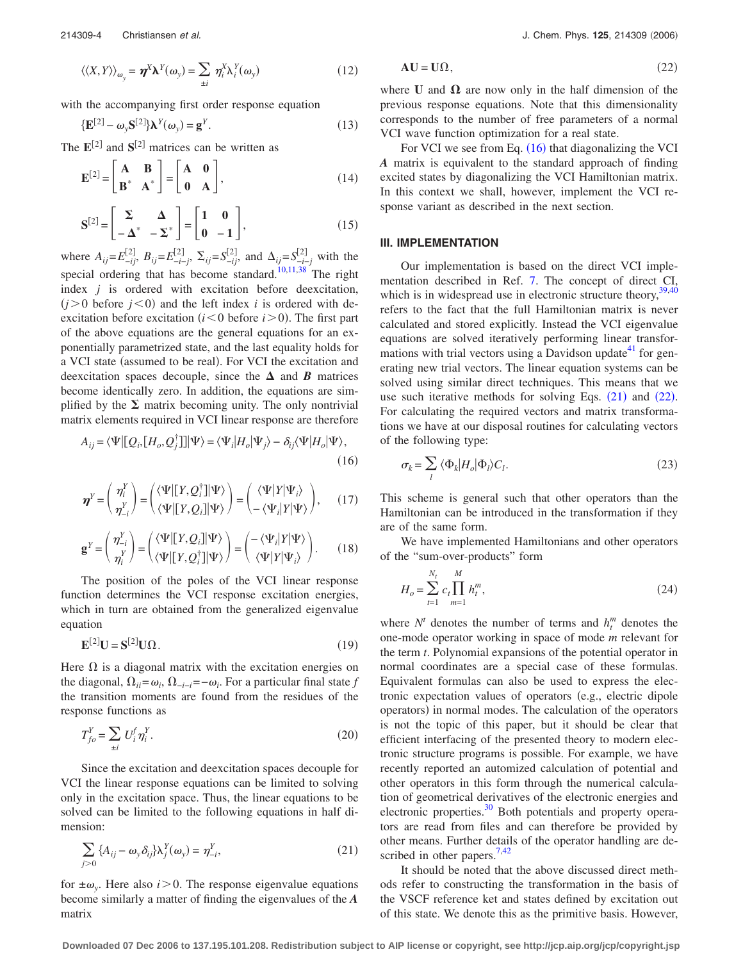with the accompanying first order response equation

$$
\{\mathbf{E}^{[2]} - \omega_{y} \mathbf{S}^{[2]}\} \mathbf{\lambda}^{Y}(\omega_{y}) = \mathbf{g}^{Y}.
$$
\n(13)

The  $\mathbf{E}^{[2]}$  and  $\mathbf{S}^{[2]}$  matrices can be written as

$$
\mathbf{E}^{[2]} = \begin{bmatrix} \mathbf{A} & \mathbf{B} \\ \mathbf{B}^* & \mathbf{A}^* \end{bmatrix} = \begin{bmatrix} \mathbf{A} & \mathbf{0} \\ \mathbf{0} & \mathbf{A} \end{bmatrix},
$$
(14)

$$
\mathbf{S}^{[2]} = \begin{bmatrix} \Sigma & \Delta \\ -\Delta^* & -\Sigma^* \end{bmatrix} = \begin{bmatrix} 1 & 0 \\ 0 & -1 \end{bmatrix},
$$
(15)

where  $A_{ij} = E_{-ij}^{[2]}$ ,  $B_{ij} = E_{-i-j}^{[2]}$ ,  $\Sigma_{ij} = S_{-ij}^{[2]}$ , and  $\Delta_{ij} = S_{-i-j}^{[2]}$  with the special ordering that has become standard.<sup>10,[11,](#page-12-18)[38](#page-12-22)</sup> The right index *j* is ordered with excitation before deexcitation,  $(j>0$  before  $j<0$ ) and the left index *i* is ordered with deexcitation before excitation  $(i < 0$  before  $i > 0$ ). The first part of the above equations are the general equations for an exponentially parametrized state, and the last equality holds for a VCI state (assumed to be real). For VCI the excitation and deexcitation spaces decouple, since the  $\Delta$  and *B* matrices become identically zero. In addition, the equations are simplified by the  $\Sigma$  matrix becoming unity. The only nontrivial matrix elements required in VCI linear response are therefore

<span id="page-4-0"></span>
$$
A_{ij} = \langle \Psi | [Q_i, [H_o, Q_j^{\dagger}]] | \Psi \rangle = \langle \Psi_i | H_o | \Psi_j \rangle - \delta_{ij} \langle \Psi | H_o | \Psi \rangle, \tag{16}
$$

$$
\boldsymbol{\eta}^{Y} = \begin{pmatrix} \eta_{i}^{Y} \\ \eta_{-i}^{Y} \end{pmatrix} = \begin{pmatrix} \langle \Psi | [Y, Q_{i}^{\dagger}] | \Psi \rangle \\ \langle \Psi | [Y, Q_{i}] | \Psi \rangle \end{pmatrix} = \begin{pmatrix} \langle \Psi | Y | \Psi_{i} \rangle \\ - \langle \Psi_{i} | Y | \Psi \rangle \end{pmatrix}, \quad (17)
$$

$$
\mathbf{g}^{Y} = \begin{pmatrix} \eta_{-i}^{Y} \\ \eta_{i}^{Y} \end{pmatrix} = \begin{pmatrix} \langle \Psi | [Y, Q_{i}] | \Psi \rangle \\ \langle \Psi | [Y, Q_{i}^{\dagger}] | \Psi \rangle \end{pmatrix} = \begin{pmatrix} -\langle \Psi_{i} | Y | \Psi \rangle \\ \langle \Psi | Y | \Psi_{i} \rangle \end{pmatrix}.
$$
 (18)

The position of the poles of the VCI linear response function determines the VCI response excitation energies, which in turn are obtained from the generalized eigenvalue equation

$$
\mathbf{E}^{[2]}\mathbf{U} = \mathbf{S}^{[2]}\mathbf{U}\Omega.
$$
 (19)

Here  $\Omega$  is a diagonal matrix with the excitation energies on the diagonal,  $\Omega_{ii} = \omega_i$ ,  $\Omega_{-i-i} = -\omega_i$ . For a particular final state *f* the transition moments are found from the residues of the response functions as

$$
T_{fo}^Y = \sum_{\pm i} U_i^f \eta_i^Y. \tag{20}
$$

Since the excitation and deexcitation spaces decouple for VCI the linear response equations can be limited to solving only in the excitation space. Thus, the linear equations to be solved can be limited to the following equations in half dimension:

<span id="page-4-1"></span>
$$
\sum_{j>0} \{A_{ij} - \omega_y \delta_{ij}\} \lambda_j^Y(\omega_y) = \eta_{-i}^Y,
$$
\n(21)

for  $\pm \omega_y$ . Here also *i* > 0. The response eigenvalue equations become similarly a matter of finding the eigenvalues of the *A* matrix

$$
AU = U\Omega, \qquad (22)
$$

<span id="page-4-2"></span>where **U** and  $\Omega$  are now only in the half dimension of the previous response equations. Note that this dimensionality corresponds to the number of free parameters of a normal VCI wave function optimization for a real state.

For VCI we see from Eq. ([16](#page-4-0)) that diagonalizing the VCI *A* matrix is equivalent to the standard approach of finding excited states by diagonalizing the VCI Hamiltonian matrix. In this context we shall, however, implement the VCI response variant as described in the next section.

#### **III. IMPLEMENTATION**

Our implementation is based on the direct VCI implementation described in Ref. [7.](#page-12-1) The concept of direct CI, which is in widespread use in electronic structure theory,  $39,40$  $39,40$ refers to the fact that the full Hamiltonian matrix is never calculated and stored explicitly. Instead the VCI eigenvalue equations are solved iteratively performing linear transformations with trial vectors using a Davidson update $41$  for generating new trial vectors. The linear equation systems can be solved using similar direct techniques. This means that we use such iterative methods for solving Eqs.  $(21)$  $(21)$  $(21)$  and  $(22)$  $(22)$  $(22)$ . For calculating the required vectors and matrix transformations we have at our disposal routines for calculating vectors of the following type:

$$
\sigma_k = \sum_l \langle \Phi_k | H_o | \Phi_l \rangle C_l. \tag{23}
$$

This scheme is general such that other operators than the Hamiltonian can be introduced in the transformation if they are of the same form.

We have implemented Hamiltonians and other operators of the "sum-over-products" form

$$
H_o = \sum_{t=1}^{N_t} c_t \prod_{m=1}^{M} h_t^m,
$$
\n(24)

where  $N^t$  denotes the number of terms and  $h_t^m$  denotes the one-mode operator working in space of mode *m* relevant for the term *t*. Polynomial expansions of the potential operator in normal coordinates are a special case of these formulas. Equivalent formulas can also be used to express the electronic expectation values of operators (e.g., electric dipole operators) in normal modes. The calculation of the operators is not the topic of this paper, but it should be clear that efficient interfacing of the presented theory to modern electronic structure programs is possible. For example, we have recently reported an automized calculation of potential and other operators in this form through the numerical calculation of geometrical derivatives of the electronic energies and electronic properties.<sup>30</sup> Both potentials and property operators are read from files and can therefore be provided by other means. Further details of the operator handling are described in other papers. $7,42$  $7,42$ 

It should be noted that the above discussed direct methods refer to constructing the transformation in the basis of the VSCF reference ket and states defined by excitation out of this state. We denote this as the primitive basis. However,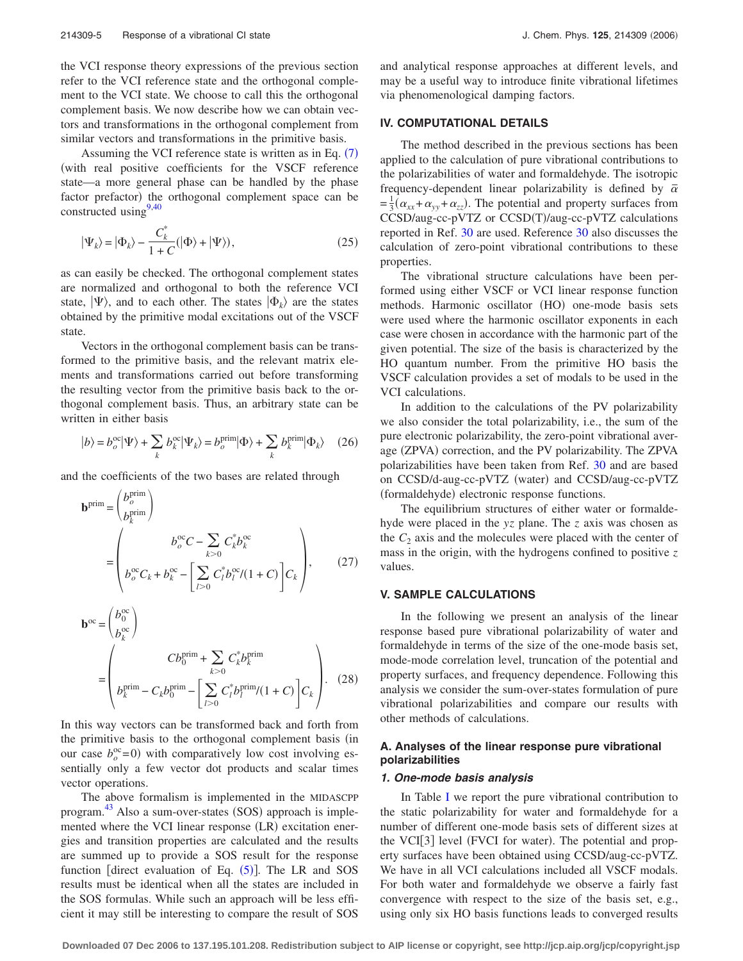the VCI response theory expressions of the previous section refer to the VCI reference state and the orthogonal complement to the VCI state. We choose to call this the orthogonal complement basis. We now describe how we can obtain vectors and transformations in the orthogonal complement from similar vectors and transformations in the primitive basis.

Assuming the VCI reference state is written as in Eq.  $(7)$  $(7)$  $(7)$ with real positive coefficients for the VSCF reference state—a more general phase can be handled by the phase factor prefactor) the orthogonal complement space can be constructed using  $9,40$  $9,40$ 

$$
|\Psi_k\rangle = |\Phi_k\rangle - \frac{C_k^*}{1+C} (|\Phi\rangle + |\Psi\rangle), \qquad (25)
$$

as can easily be checked. The orthogonal complement states are normalized and orthogonal to both the reference VCI state,  $|\Psi\rangle$ , and to each other. The states  $|\Phi_k\rangle$  are the states obtained by the primitive modal excitations out of the VSCF state.

Vectors in the orthogonal complement basis can be transformed to the primitive basis, and the relevant matrix elements and transformations carried out before transforming the resulting vector from the primitive basis back to the orthogonal complement basis. Thus, an arbitrary state can be written in either basis

$$
|b\rangle = b_o^{\text{oc}} |\Psi\rangle + \sum_k b_k^{\text{oc}} |\Psi_k\rangle = b_o^{\text{prim}} |\Phi\rangle + \sum_k b_k^{\text{prim}} |\Phi_k\rangle \quad (26)
$$

and the coefficients of the two bases are related through

$$
\mathbf{b}^{\text{prim}} = \begin{pmatrix} b_o^{\text{prim}} \\ b_k^{\text{prim}} \end{pmatrix}
$$
  
= 
$$
\begin{pmatrix} b_o^{\text{oc}}C - \sum_{k>0} C_k^* b_k^{\text{oc}} \\ b_o^{\text{oc}}C_k + b_k^{\text{oc}} - \left[ \sum_{l>0} C_l^* b_l^{\text{oc}} / (1+C) \right] C_k \end{pmatrix},
$$
(27)

$$
\mathbf{b}^{\text{oc}} = \begin{pmatrix} b_0^{\text{oc}} \\ b_k^{\text{oc}} \end{pmatrix}
$$
  
= 
$$
\begin{pmatrix} Cb_0^{\text{prim}} + \sum_{k>0} C_k^* b_k^{\text{prim}} \\ b_k^{\text{prim}} - C_k b_0^{\text{prim}} - \left[ \sum_{l>0} C_l^* b_l^{\text{prim}} / (1+C) \right] C_k \end{pmatrix}.
$$
 (28)

In this way vectors can be transformed back and forth from the primitive basis to the orthogonal complement basis (in our case  $b_0^{\text{oc}}=0$ ) with comparatively low cost involving essentially only a few vector dot products and scalar times vector operations.

The above formalism is implemented in the MIDASCPP program.<sup>[43](#page-12-27)</sup> Also a sum-over-states (SOS) approach is implemented where the VCI linear response (LR) excitation energies and transition properties are calculated and the results are summed up to provide a SOS result for the response function [direct evaluation of Eq.  $(5)$  $(5)$  $(5)$ ]. The LR and SOS results must be identical when all the states are included in the SOS formulas. While such an approach will be less efficient it may still be interesting to compare the result of SOS and analytical response approaches at different levels, and may be a useful way to introduce finite vibrational lifetimes via phenomenological damping factors.

#### **IV. COMPUTATIONAL DETAILS**

The method described in the previous sections has been applied to the calculation of pure vibrational contributions to the polarizabilities of water and formaldehyde. The isotropic frequency-dependent linear polarizability is defined by  $\bar{\alpha}$  $= \frac{1}{3}(\alpha_{xx} + \alpha_{yy} + \alpha_{zz})$ . The potential and property surfaces from CCSD/aug-cc-pVTZ or CCSD(T)/aug-cc-pVTZ calculations reported in Ref. [30](#page-12-14) are used. Reference [30](#page-12-14) also discusses the calculation of zero-point vibrational contributions to these properties.

The vibrational structure calculations have been performed using either VSCF or VCI linear response function methods. Harmonic oscillator (HO) one-mode basis sets were used where the harmonic oscillator exponents in each case were chosen in accordance with the harmonic part of the given potential. The size of the basis is characterized by the HO quantum number. From the primitive HO basis the VSCF calculation provides a set of modals to be used in the VCI calculations.

In addition to the calculations of the PV polarizability we also consider the total polarizability, i.e., the sum of the pure electronic polarizability, the zero-point vibrational average (ZPVA) correction, and the PV polarizability. The ZPVA polarizabilities have been taken from Ref. [30](#page-12-14) and are based on CCSD/d-aug-cc-pVTZ (water) and CCSD/aug-cc-pVTZ (formaldehyde) electronic response functions.

The equilibrium structures of either water or formaldehyde were placed in the *yz* plane. The *z* axis was chosen as the  $C_2$  axis and the molecules were placed with the center of mass in the origin, with the hydrogens confined to positive *z* values.

## **V. SAMPLE CALCULATIONS**

In the following we present an analysis of the linear response based pure vibrational polarizability of water and formaldehyde in terms of the size of the one-mode basis set, mode-mode correlation level, truncation of the potential and property surfaces, and frequency dependence. Following this analysis we consider the sum-over-states formulation of pure vibrational polarizabilities and compare our results with other methods of calculations.

## **A. Analyses of the linear response pure vibrational polarizabilities**

#### *1. One-mode basis analysis*

In Table [I](#page-6-0) we report the pure vibrational contribution to the static polarizability for water and formaldehyde for a number of different one-mode basis sets of different sizes at the VCI[3] level (FVCI for water). The potential and property surfaces have been obtained using CCSD/aug-cc-pVTZ. We have in all VCI calculations included all VSCF modals. For both water and formaldehyde we observe a fairly fast convergence with respect to the size of the basis set, e.g., using only six HO basis functions leads to converged results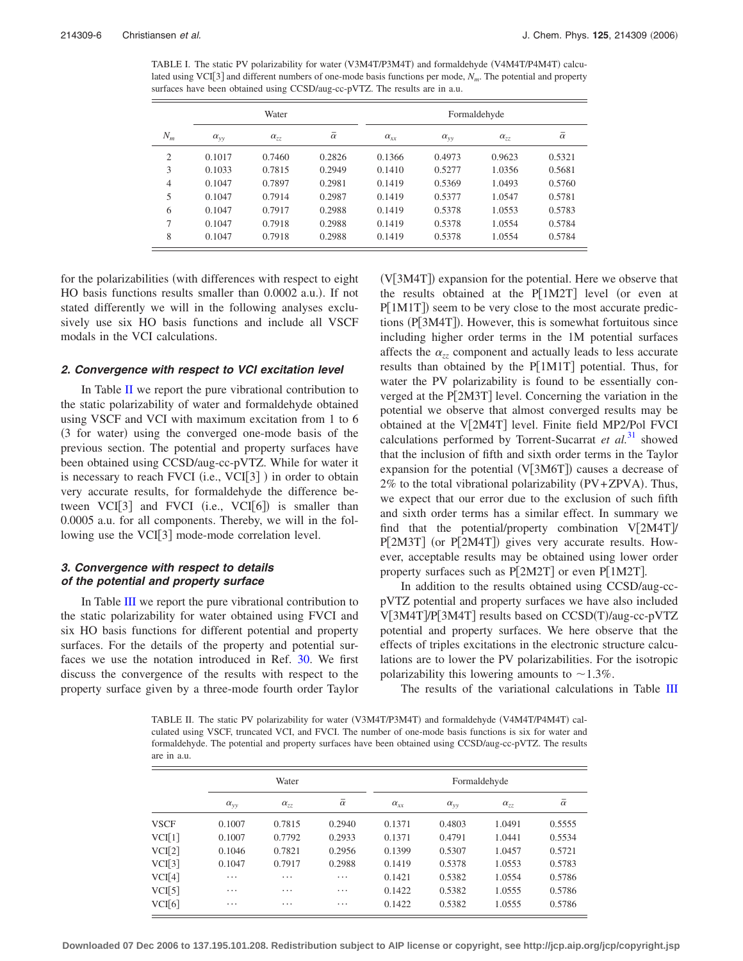<span id="page-6-0"></span>TABLE I. The static PV polarizability for water (V3M4T/P3M4T) and formaldehyde (V4M4T/P4M4T) calculated using VCI[3] and different numbers of one-mode basis functions per mode,  $N_m$ . The potential and property surfaces have been obtained using CCSD/aug-cc-pVTZ. The results are in a.u.

|                |               | Water         |                | Formaldehyde  |                   |               |                |  |
|----------------|---------------|---------------|----------------|---------------|-------------------|---------------|----------------|--|
| $N_m$          | $\alpha_{yy}$ | $\alpha_{zz}$ | $\bar{\alpha}$ | $\alpha_{xx}$ | $\alpha_{\rm vv}$ | $\alpha_{zz}$ | $\bar{\alpha}$ |  |
| $\mathfrak{2}$ | 0.1017        | 0.7460        | 0.2826         | 0.1366        | 0.4973            | 0.9623        | 0.5321         |  |
| 3              | 0.1033        | 0.7815        | 0.2949         | 0.1410        | 0.5277            | 1.0356        | 0.5681         |  |
| 4              | 0.1047        | 0.7897        | 0.2981         | 0.1419        | 0.5369            | 1.0493        | 0.5760         |  |
| 5              | 0.1047        | 0.7914        | 0.2987         | 0.1419        | 0.5377            | 1.0547        | 0.5781         |  |
| 6              | 0.1047        | 0.7917        | 0.2988         | 0.1419        | 0.5378            | 1.0553        | 0.5783         |  |
| 7              | 0.1047        | 0.7918        | 0.2988         | 0.1419        | 0.5378            | 1.0554        | 0.5784         |  |
| 8              | 0.1047        | 0.7918        | 0.2988         | 0.1419        | 0.5378            | 1.0554        | 0.5784         |  |

for the polarizabilities (with differences with respect to eight HO basis functions results smaller than 0.0002 a.u.). If not stated differently we will in the following analyses exclusively use six HO basis functions and include all VSCF modals in the VCI calculations.

#### *2. Convergence with respect to VCI excitation level*

In Table [II](#page-6-1) we report the pure vibrational contribution to the static polarizability of water and formaldehyde obtained using VSCF and VCI with maximum excitation from 1 to 6 (3 for water) using the converged one-mode basis of the previous section. The potential and property surfaces have been obtained using CCSD/aug-cc-pVTZ. While for water it is necessary to reach FVCI (i.e., VCI[3]) in order to obtain very accurate results, for formaldehyde the difference between  $VCI[3]$  and  $FVCI$  (i.e.,  $VCI[6]$ ) is smaller than 0.0005 a.u. for all components. Thereby, we will in the following use the VCI[3] mode-mode correlation level.

#### *3. Convergence with respect to details of the potential and property surface*

In Table [III](#page-7-0) we report the pure vibrational contribution to the static polarizability for water obtained using FVCI and six HO basis functions for different potential and property surfaces. For the details of the property and potential surfaces we use the notation introduced in Ref. [30.](#page-12-14) We first discuss the convergence of the results with respect to the property surface given by a three-mode fourth order Taylor

(V[3M4T]) expansion for the potential. Here we observe that the results obtained at the  $P[1M2T]$  level (or even at P[1M1T]) seem to be very close to the most accurate predictions (P[3M4T]). However, this is somewhat fortuitous since including higher order terms in the 1M potential surfaces affects the  $\alpha_{zz}$  component and actually leads to less accurate results than obtained by the  $P[1M1T]$  potential. Thus, for water the PV polarizability is found to be essentially converged at the  $P[2M3T]$  level. Concerning the variation in the potential we observe that almost converged results may be obtained at the  $V[2M4T]$  level. Finite field MP2/Pol FVCI calculations performed by Torrent-Sucarrat *et al.*[31](#page-12-15) showed that the inclusion of fifth and sixth order terms in the Taylor expansion for the potential  $(V[3M6T])$  causes a decrease of 2% to the total vibrational polarizability (PV+ZPVA). Thus, we expect that our error due to the exclusion of such fifth and sixth order terms has a similar effect. In summary we find that the potential/property combination  $V[2M4T]$ P[2M3T] (or P[2M4T]) gives very accurate results. However, acceptable results may be obtained using lower order property surfaces such as  $P[2M2T]$  or even  $P[1M2T]$ .

In addition to the results obtained using CCSD/aug-ccpVTZ potential and property surfaces we have also included V[3M4T]/P[3M4T] results based on CCSD(T)/aug-cc-pVTZ potential and property surfaces. We here observe that the effects of triples excitations in the electronic structure calculations are to lower the PV polarizabilities. For the isotropic polarizability this lowering amounts to  $\sim$  1.3%.

The results of the variational calculations in Table [III](#page-7-0)

<span id="page-6-1"></span>TABLE II. The static PV polarizability for water (V3M4T/P3M4T) and formaldehyde (V4M4T/P4M4T) calculated using VSCF, truncated VCI, and FVCI. The number of one-mode basis functions is six for water and formaldehyde. The potential and property surfaces have been obtained using CCSD/aug-cc-pVTZ. The results are in a.u.

|             | Water             |               |                | Formaldehyde  |                   |               |                |  |
|-------------|-------------------|---------------|----------------|---------------|-------------------|---------------|----------------|--|
|             | $\alpha_{\rm vv}$ | $\alpha_{zz}$ | $\bar{\alpha}$ | $\alpha_{xx}$ | $\alpha_{\rm vv}$ | $\alpha_{zz}$ | $\bar{\alpha}$ |  |
| <b>VSCF</b> | 0.1007            | 0.7815        | 0.2940         | 0.1371        | 0.4803            | 1.0491        | 0.5555         |  |
| VCI[1]      | 0.1007            | 0.7792        | 0.2933         | 0.1371        | 0.4791            | 1.0441        | 0.5534         |  |
| VCI[2]      | 0.1046            | 0.7821        | 0.2956         | 0.1399        | 0.5307            | 1.0457        | 0.5721         |  |
| VCI[3]      | 0.1047            | 0.7917        | 0.2988         | 0.1419        | 0.5378            | 1.0553        | 0.5783         |  |
| VCI[4]      | $\cdots$          | .             | .              | 0.1421        | 0.5382            | 1.0554        | 0.5786         |  |
| VCI[5]      | $\cdots$          | .             | $\cdots$       | 0.1422        | 0.5382            | 1.0555        | 0.5786         |  |
| VCI[6]      | $\cdots$          | .             | $\cdots$       | 0.1422        | 0.5382            | 1.0555        | 0.5786         |  |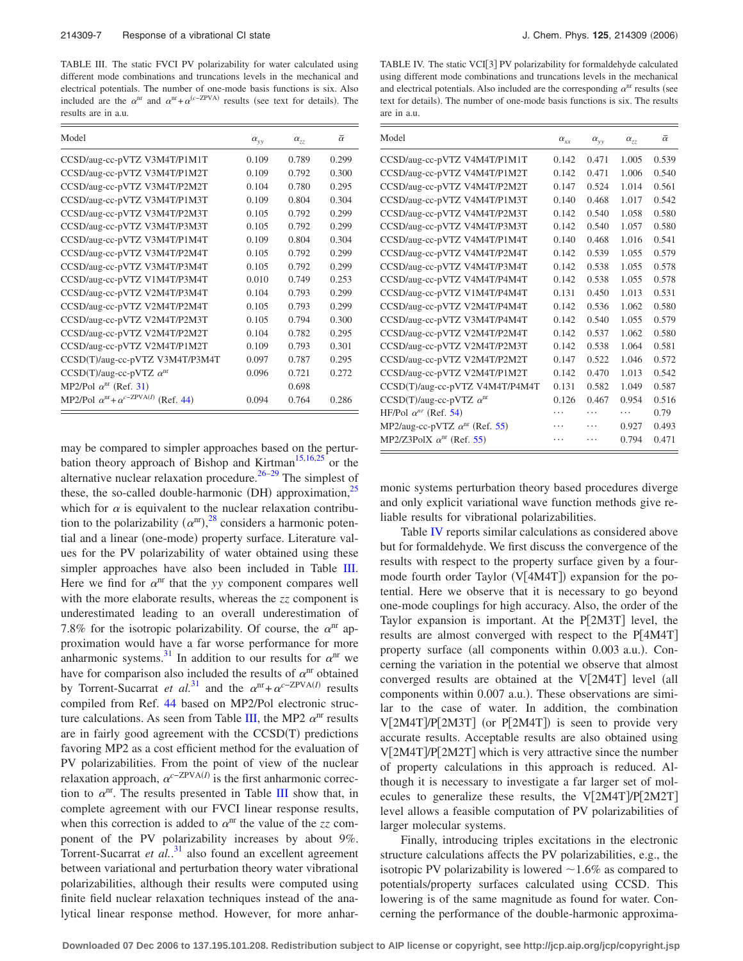<span id="page-7-0"></span>TABLE III. The static FVCI PV polarizability for water calculated using different mode combinations and truncations levels in the mechanical and electrical potentials. The number of one-mode basis functions is six. Also included are the  $\alpha^{nr}$  and  $\alpha^{nr} + \alpha^{(c-ZPVA)}$  results (see text for details). The results are in a.u.

| Model                                                   | $\alpha_{yy}$ | $\alpha_{77}$ | $\bar{\alpha}$ |
|---------------------------------------------------------|---------------|---------------|----------------|
| CCSD/aug-cc-pVTZ V3M4T/P1M1T                            | 0.109         | 0.789         | 0.299          |
| CCSD/aug-cc-pVTZ V3M4T/P1M2T                            | 0.109         | 0.792         | 0.300          |
| CCSD/aug-cc-pVTZ V3M4T/P2M2T                            | 0.104         | 0.780         | 0.295          |
| CCSD/aug-cc-pVTZ V3M4T/P1M3T                            | 0.109         | 0.804         | 0.304          |
| CCSD/aug-cc-pVTZ V3M4T/P2M3T                            | 0.105         | 0.792         | 0.299          |
| CCSD/aug-cc-pVTZ V3M4T/P3M3T                            | 0.105         | 0.792         | 0.299          |
| CCSD/aug-cc-pVTZ V3M4T/P1M4T                            | 0.109         | 0.804         | 0.304          |
| CCSD/aug-cc-pVTZ V3M4T/P2M4T                            | 0.105         | 0.792         | 0.299          |
| CCSD/aug-cc-pVTZ V3M4T/P3M4T                            | 0.105         | 0.792         | 0.299          |
| CCSD/aug-cc-pVTZ V1M4T/P3M4T                            | 0.010         | 0.749         | 0.253          |
| CCSD/aug-cc-pVTZ V2M4T/P3M4T                            | 0.104         | 0.793         | 0.299          |
| CCSD/aug-cc-pVTZ V2M4T/P2M4T                            | 0.105         | 0.793         | 0.299          |
| CCSD/aug-cc-pVTZ V2M4T/P2M3T                            | 0.105         | 0.794         | 0.300          |
| CCSD/aug-cc-pVTZ V2M4T/P2M2T                            | 0.104         | 0.782         | 0.295          |
| CCSD/aug-cc-pVTZ V2M4T/P1M2T                            | 0.109         | 0.793         | 0.301          |
| CCSD(T)/aug-cc-pVTZ V3M4T/P3M4T                         | 0.097         | 0.787         | 0.295          |
| $CCSD(T)/aug-cc-pVTZ \alpha^{nr}$                       | 0.096         | 0.721         | 0.272          |
| MP2/Pol $\alpha^{nr}$ (Ref. 31)                         |               | 0.698         |                |
| MP2/Pol $\alpha^{nr} + \alpha^{c-ZPVA(I)}$<br>(Ref. 44) | 0.094         | 0.764         | 0.286          |

may be compared to simpler approaches based on the pertur-bation theory approach of Bishop and Kirtman<sup>15[,16,](#page-12-7)[25](#page-12-11)</sup> or the alternative nuclear relaxation procedure.<sup>26[–29](#page-12-13)</sup> The simplest of these, the so-called double-harmonic (DH) approximation,<sup>25</sup> which for  $\alpha$  is equivalent to the nuclear relaxation contribution to the polarizability  $(\alpha^{nr})$ ,<sup>[28](#page-12-28)</sup> considers a harmonic potential and a linear (one-mode) property surface. Literature values for the PV polarizability of water obtained using these simpler approaches have also been included in Table [III.](#page-7-0) Here we find for  $\alpha^{nr}$  that the *yy* component compares well with the more elaborate results, whereas the *zz* component is underestimated leading to an overall underestimation of 7.8% for the isotropic polarizability. Of course, the  $\alpha^{nr}$  approximation would have a far worse performance for more anharmonic systems.<sup>31</sup> In addition to our results for  $\alpha^{nr}$  we have for comparison also included the results of  $\alpha^{nr}$  obtained by Torrent-Sucarrat *et al.*<sup>[31](#page-12-15)</sup> and the  $\alpha^{nr} + \alpha^{c-ZPVA(I)}$  results compiled from Ref. [44](#page-12-29) based on MP2/Pol electronic struc-ture calculations. As seen from Table [III,](#page-7-0) the MP2  $\alpha^{nr}$  results are in fairly good agreement with the CCSD(T) predictions favoring MP2 as a cost efficient method for the evaluation of PV polarizabilities. From the point of view of the nuclear relaxation approach,  $\alpha^{c-\text{ZPVA}(I)}$  is the first anharmonic correction to  $\alpha^{nr}$ . The results presented in Table [III](#page-7-0) show that, in complete agreement with our FVCI linear response results, when this correction is added to  $\alpha^{nr}$  the value of the *zz* component of the PV polarizability increases by about 9%. Torrent-Sucarrat *et al.*<sup>[31](#page-12-15)</sup> also found an excellent agreement between variational and perturbation theory water vibrational polarizabilities, although their results were computed using finite field nuclear relaxation techniques instead of the analytical linear response method. However, for more anhar-

<span id="page-7-1"></span>TABLE IV. The static VCI[3] PV polarizability for formaldehyde calculated using different mode combinations and truncations levels in the mechanical and electrical potentials. Also included are the corresponding  $\alpha^{nr}$  results (see text for details). The number of one-mode basis functions is six. The results are in a.u.

| Model                                   | $\alpha_{xx}$ | $\alpha_{yy}$ | $\alpha_{zz}$ | $\bar{\alpha}$ |
|-----------------------------------------|---------------|---------------|---------------|----------------|
| CCSD/aug-cc-pVTZ V4M4T/P1M1T            | 0.142         | 0.471         | 1.005         | 0.539          |
| CCSD/aug-cc-pVTZ V4M4T/P1M2T            | 0.142         | 0.471         | 1.006         | 0.540          |
| CCSD/aug-cc-pVTZ V4M4T/P2M2T            | 0.147         | 0.524         | 1.014         | 0.561          |
| CCSD/aug-cc-pVTZ V4M4T/P1M3T            | 0.140         | 0.468         | 1.017         | 0.542          |
| CCSD/aug-cc-pVTZ V4M4T/P2M3T            | 0.142         | 0.540         | 1.058         | 0.580          |
| CCSD/aug-cc-pVTZ V4M4T/P3M3T            | 0.142         | 0.540         | 1.057         | 0.580          |
| CCSD/aug-cc-pVTZ V4M4T/P1M4T            | 0.140         | 0.468         | 1.016         | 0.541          |
| CCSD/aug-cc-pVTZ V4M4T/P2M4T            | 0.142         | 0.539         | 1.055         | 0.579          |
| CCSD/aug-cc-pVTZ V4M4T/P3M4T            | 0.142         | 0.538         | 1.055         | 0.578          |
| CCSD/aug-cc-pVTZ V4M4T/P4M4T            | 0.142         | 0.538         | 1.055         | 0.578          |
| CCSD/aug-cc-pVTZ V1M4T/P4M4T            | 0.131         | 0.450         | 1.013         | 0.531          |
| CCSD/aug-cc-pVTZ V2M4T/P4M4T            | 0.142         | 0.536         | 1.062         | 0.580          |
| CCSD/aug-cc-pVTZ V3M4T/P4M4T            | 0.142         | 0.540         | 1.055         | 0.579          |
| CCSD/aug-cc-pVTZ V2M4T/P2M4T            | 0.142         | 0.537         | 1.062         | 0.580          |
| CCSD/aug-cc-pVTZ V2M4T/P2M3T            | 0.142         | 0.538         | 1.064         | 0.581          |
| CCSD/aug-cc-pVTZ V2M4T/P2M2T            | 0.147         | 0.522         | 1.046         | 0.572          |
| CCSD/aug-cc-pVTZ V2M4T/P1M2T            | 0.142         | 0.470         | 1.013         | 0.542          |
| CCSD(T)/aug-cc-pVTZ V4M4T/P4M4T         | 0.131         | 0.582         | 1.049         | 0.587          |
| $CCSD(T)/aug-cc-pVTZ \alphanr$          | 0.126         | 0.467         | 0.954         | 0.516          |
| HF/Pol $\alpha^{nr}$ (Ref. 54)          |               | .             | .             | 0.79           |
| MP2/aug-cc-pVTZ $\alpha^{nr}$ (Ref. 55) |               | .             | 0.927         | 0.493          |
| MP2/Z3PolX $\alpha^{nr}$ (Ref. 55)      | .             | .             | 0.794         | 0.471          |
|                                         |               |               |               |                |

monic systems perturbation theory based procedures diverge and only explicit variational wave function methods give reliable results for vibrational polarizabilities.

Table [IV](#page-7-1) reports similar calculations as considered above but for formaldehyde. We first discuss the convergence of the results with respect to the property surface given by a fourmode fourth order Taylor  $(V[4M4T])$  expansion for the potential. Here we observe that it is necessary to go beyond one-mode couplings for high accuracy. Also, the order of the Taylor expansion is important. At the  $P[2M3T]$  level, the results are almost converged with respect to the  $P[4M4T]$ property surface (all components within 0.003 a.u.). Concerning the variation in the potential we observe that almost converged results are obtained at the  $V[2M4T]$  level (all components within 0.007 a.u.). These observations are similar to the case of water. In addition, the combination V[2M4T]/P[2M3T] (or P[2M4T]) is seen to provide very accurate results. Acceptable results are also obtained using  $V[2M4T]$ /P $[2M2T]$  which is very attractive since the number of property calculations in this approach is reduced. Although it is necessary to investigate a far larger set of molecules to generalize these results, the  $V[2M4T]/P[2M2T]$ level allows a feasible computation of PV polarizabilities of larger molecular systems.

Finally, introducing triples excitations in the electronic structure calculations affects the PV polarizabilities, e.g., the isotropic PV polarizability is lowered  $\sim$  1.6% as compared to potentials/property surfaces calculated using CCSD. This lowering is of the same magnitude as found for water. Concerning the performance of the double-harmonic approxima-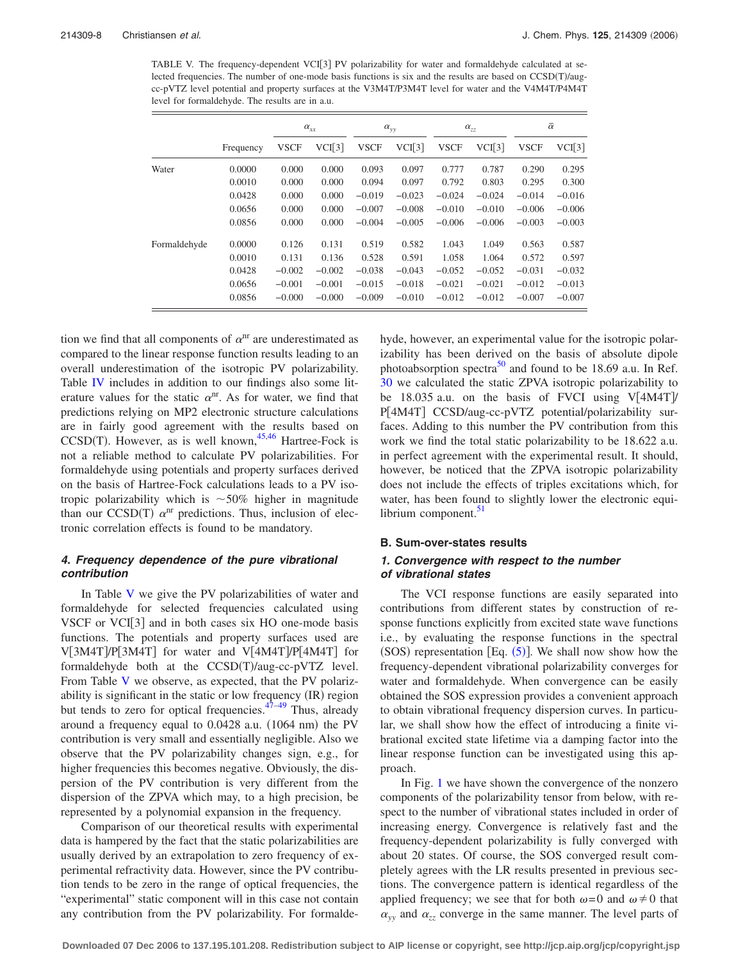<span id="page-8-0"></span>TABLE V. The frequency-dependent VCI[3] PV polarizability for water and formaldehyde calculated at selected frequencies. The number of one-mode basis functions is six and the results are based on CCSD(T)/augcc-pVTZ level potential and property surfaces at the V3M4T/P3M4T level for water and the V4M4T/P4M4T level for formaldehyde. The results are in a.u.

|              |           | $\alpha_{xx}$ |          | $\alpha_{\rm vv}$ |          | $\alpha_{zz}$ |          | $\bar{\alpha}$ |          |
|--------------|-----------|---------------|----------|-------------------|----------|---------------|----------|----------------|----------|
|              | Frequency | <b>VSCF</b>   | VCI[3]   | <b>VSCF</b>       | VCI[3]   | <b>VSCF</b>   | VCI[3]   | <b>VSCF</b>    | VCI[3]   |
| Water        | 0.0000    | 0.000         | 0.000    | 0.093             | 0.097    | 0.777         | 0.787    | 0.290          | 0.295    |
|              | 0.0010    | 0.000         | 0.000    | 0.094             | 0.097    | 0.792         | 0.803    | 0.295          | 0.300    |
|              | 0.0428    | 0.000         | 0.000    | $-0.019$          | $-0.023$ | $-0.024$      | $-0.024$ | $-0.014$       | $-0.016$ |
|              | 0.0656    | 0.000         | 0.000    | $-0.007$          | $-0.008$ | $-0.010$      | $-0.010$ | $-0.006$       | $-0.006$ |
|              | 0.0856    | 0.000         | 0.000    | $-0.004$          | $-0.005$ | $-0.006$      | $-0.006$ | $-0.003$       | $-0.003$ |
| Formaldehyde | 0.0000    | 0.126         | 0.131    | 0.519             | 0.582    | 1.043         | 1.049    | 0.563          | 0.587    |
|              | 0.0010    | 0.131         | 0.136    | 0.528             | 0.591    | 1.058         | 1.064    | 0.572          | 0.597    |
|              | 0.0428    | $-0.002$      | $-0.002$ | $-0.038$          | $-0.043$ | $-0.052$      | $-0.052$ | $-0.031$       | $-0.032$ |
|              | 0.0656    | $-0.001$      | $-0.001$ | $-0.015$          | $-0.018$ | $-0.021$      | $-0.021$ | $-0.012$       | $-0.013$ |
|              | 0.0856    | $-0.000$      | $-0.000$ | $-0.009$          | $-0.010$ | $-0.012$      | $-0.012$ | $-0.007$       | $-0.007$ |

tion we find that all components of  $\alpha^{nr}$  are underestimated as compared to the linear response function results leading to an overall underestimation of the isotropic PV polarizability. Table [IV](#page-7-1) includes in addition to our findings also some literature values for the static  $\alpha^{nr}$ . As for water, we find that predictions relying on MP2 electronic structure calculations are in fairly good agreement with the results based on  $CCSD(T)$ . However, as is well known,<sup>45,[46](#page-12-33)</sup> Hartree-Fock is not a reliable method to calculate PV polarizabilities. For formaldehyde using potentials and property surfaces derived on the basis of Hartree-Fock calculations leads to a PV isotropic polarizability which is  $\sim$  50% higher in magnitude than our CCSD(T)  $\alpha$ <sup>nr</sup> predictions. Thus, inclusion of electronic correlation effects is found to be mandatory.

## *4. Frequency dependence of the pure vibrational contribution*

In Table [V](#page-8-0) we give the PV polarizabilities of water and formaldehyde for selected frequencies calculated using VSCF or  $VCI[3]$  and in both cases six HO one-mode basis functions. The potentials and property surfaces used are  $V[3M4T]/P[3M4T]$  for water and  $V[4M4T]/P[4M4T]$  for formaldehyde both at the CCSD(T)/aug-cc-pVTZ level. From Table [V](#page-8-0) we observe, as expected, that the PV polarizability is significant in the static or low frequency (IR) region but tends to zero for optical frequencies.  $47-49$  $47-49$  Thus, already around a frequency equal to 0.0428 a.u. (1064 nm) the PV contribution is very small and essentially negligible. Also we observe that the PV polarizability changes sign, e.g., for higher frequencies this becomes negative. Obviously, the dispersion of the PV contribution is very different from the dispersion of the ZPVA which may, to a high precision, be represented by a polynomial expansion in the frequency.

Comparison of our theoretical results with experimental data is hampered by the fact that the static polarizabilities are usually derived by an extrapolation to zero frequency of experimental refractivity data. However, since the PV contribution tends to be zero in the range of optical frequencies, the "experimental" static component will in this case not contain any contribution from the PV polarizability. For formaldehyde, however, an experimental value for the isotropic polarizability has been derived on the basis of absolute dipole photoabsorption spectra<sup>50</sup> and found to be 18.69 a.u. In Ref. [30](#page-12-14) we calculated the static ZPVA isotropic polarizability to be 18.035 a.u. on the basis of FVCI using  $V[4M4T]$ P[4M4T] CCSD/aug-cc-pVTZ potential/polarizability surfaces. Adding to this number the PV contribution from this work we find the total static polarizability to be 18.622 a.u. in perfect agreement with the experimental result. It should, however, be noticed that the ZPVA isotropic polarizability does not include the effects of triples excitations which, for water, has been found to slightly lower the electronic equilibrium component.<sup>51</sup>

#### **B. Sum-over-states results**

## *1. Convergence with respect to the number of vibrational states*

The VCI response functions are easily separated into contributions from different states by construction of response functions explicitly from excited state wave functions i.e., by evaluating the response functions in the spectral (SOS) representation [Eq.  $(5)$  $(5)$  $(5)$ ]. We shall now show how the frequency-dependent vibrational polarizability converges for water and formaldehyde. When convergence can be easily obtained the SOS expression provides a convenient approach to obtain vibrational frequency dispersion curves. In particular, we shall show how the effect of introducing a finite vibrational excited state lifetime via a damping factor into the linear response function can be investigated using this approach.

In Fig. [1](#page-9-0) we have shown the convergence of the nonzero components of the polarizability tensor from below, with respect to the number of vibrational states included in order of increasing energy. Convergence is relatively fast and the frequency-dependent polarizability is fully converged with about 20 states. Of course, the SOS converged result completely agrees with the LR results presented in previous sections. The convergence pattern is identical regardless of the applied frequency; we see that for both  $\omega = 0$  and  $\omega \neq 0$  that  $\alpha_{yy}$  and  $\alpha_{zz}$  converge in the same manner. The level parts of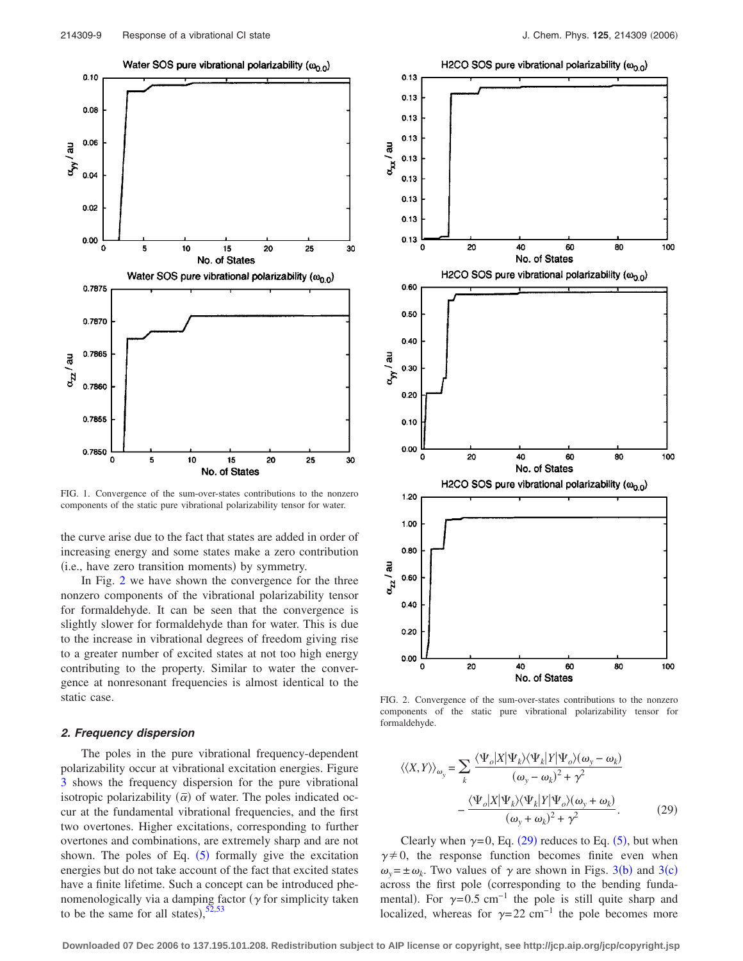<span id="page-9-0"></span>

FIG. 1. Convergence of the sum-over-states contributions to the nonzero components of the static pure vibrational polarizability tensor for water.

the curve arise due to the fact that states are added in order of increasing energy and some states make a zero contribution (i.e., have zero transition moments) by symmetry.

In Fig. [2](#page-9-1) we have shown the convergence for the three nonzero components of the vibrational polarizability tensor for formaldehyde. It can be seen that the convergence is slightly slower for formaldehyde than for water. This is due to the increase in vibrational degrees of freedom giving rise to a greater number of excited states at not too high energy contributing to the property. Similar to water the convergence at nonresonant frequencies is almost identical to the static case.

#### *2. Frequency dispersion*

The poles in the pure vibrational frequency-dependent polarizability occur at vibrational excitation energies. Figure [3](#page-10-0) shows the frequency dispersion for the pure vibrational isotropic polarizability  $(\bar{\alpha})$  of water. The poles indicated occur at the fundamental vibrational frequencies, and the first two overtones. Higher excitations, corresponding to further overtones and combinations, are extremely sharp and are not shown. The poles of Eq.  $(5)$  $(5)$  $(5)$  formally give the excitation energies but do not take account of the fact that excited states have a finite lifetime. Such a concept can be introduced phenomenologically via a damping factor  $(\gamma$  for simplicity taken to be the same for all states),  $52,53$  $52,53$ 



<span id="page-9-1"></span>

FIG. 2. Convergence of the sum-over-states contributions to the nonzero components of the static pure vibrational polarizability tensor for formaldehyde.

<span id="page-9-2"></span>
$$
\langle \langle X, Y \rangle \rangle_{\omega_y} = \sum_k \frac{\langle \Psi_o | X | \Psi_k \rangle \langle \Psi_k | Y | \Psi_o \rangle (\omega_y - \omega_k)}{(\omega_y - \omega_k)^2 + \gamma^2} - \frac{\langle \Psi_o | X | \Psi_k \rangle \langle \Psi_k | Y | \Psi_o \rangle (\omega_y + \omega_k)}{(\omega_y + \omega_k)^2 + \gamma^2}.
$$
 (29)

Clearly when  $\gamma = 0$ , Eq. ([29](#page-9-2)) reduces to Eq. ([5](#page-2-1)), but when  $\gamma \neq 0$ , the response function becomes finite even when  $\omega_y = \pm \omega_k$ . Two values of  $\gamma$  are shown in Figs. [3](#page-10-0)(b) and 3(c) across the first pole (corresponding to the bending fundamental). For  $\gamma = 0.5$  cm<sup>-1</sup> the pole is still quite sharp and localized, whereas for  $\gamma = 22$  cm<sup>-1</sup> the pole becomes more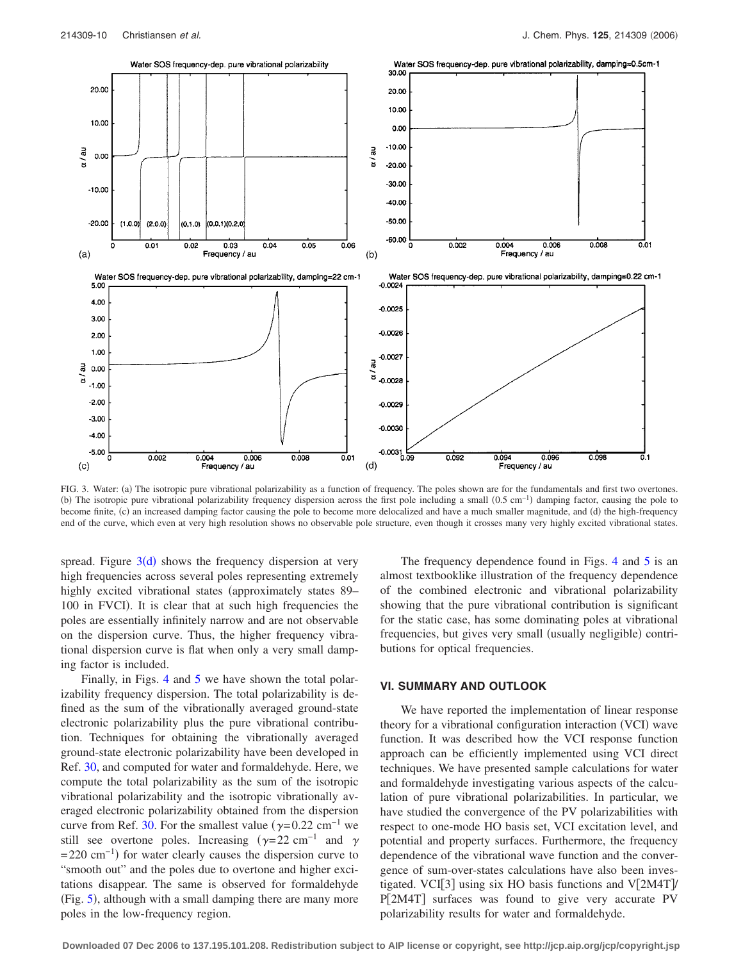<span id="page-10-0"></span>

FIG. 3. Water: (a) The isotropic pure vibrational polarizability as a function of frequency. The poles shown are for the fundamentals and first two overtones. (b) The isotropic pure vibrational polarizability frequency dispersion across the first pole including a small  $(0.5 \text{ cm}^{-1})$  damping factor, causing the pole to become finite, (c) an increased damping factor causing the pole to become more delocalized and have a much smaller magnitude, and (d) the high-frequency end of the curve, which even at very high resolution shows no observable pole structure, even though it crosses many very highly excited vibrational states.

spread. Figure  $3(d)$  $3(d)$  shows the frequency dispersion at very high frequencies across several poles representing extremely highly excited vibrational states (approximately states 89– 100 in FVCI). It is clear that at such high frequencies the poles are essentially infinitely narrow and are not observable on the dispersion curve. Thus, the higher frequency vibrational dispersion curve is flat when only a very small damping factor is included.

Finally, in Figs. [4](#page-11-0) and [5](#page-11-1) we have shown the total polarizability frequency dispersion. The total polarizability is defined as the sum of the vibrationally averaged ground-state electronic polarizability plus the pure vibrational contribution. Techniques for obtaining the vibrationally averaged ground-state electronic polarizability have been developed in Ref. [30,](#page-12-14) and computed for water and formaldehyde. Here, we compute the total polarizability as the sum of the isotropic vibrational polarizability and the isotropic vibrationally averaged electronic polarizability obtained from the dispersion curve from Ref. [30.](#page-12-14) For the smallest value ( $\gamma$ =0.22 cm<sup>-1</sup> we still see overtone poles. Increasing  $(\gamma = 22 \text{ cm}^{-1} \text{ and } \gamma)$  $= 220$  cm<sup>-1</sup>) for water clearly causes the dispersion curve to "smooth out" and the poles due to overtone and higher excitations disappear. The same is observed for formaldehyde (Fig. [5](#page-11-1)), although with a small damping there are many more poles in the low-frequency region.

The frequency dependence found in Figs. [4](#page-11-0) and [5](#page-11-1) is an almost textbooklike illustration of the frequency dependence of the combined electronic and vibrational polarizability showing that the pure vibrational contribution is significant for the static case, has some dominating poles at vibrational frequencies, but gives very small (usually negligible) contributions for optical frequencies.

## **VI. SUMMARY AND OUTLOOK**

We have reported the implementation of linear response theory for a vibrational configuration interaction (VCI) wave function. It was described how the VCI response function approach can be efficiently implemented using VCI direct techniques. We have presented sample calculations for water and formaldehyde investigating various aspects of the calculation of pure vibrational polarizabilities. In particular, we have studied the convergence of the PV polarizabilities with respect to one-mode HO basis set, VCI excitation level, and potential and property surfaces. Furthermore, the frequency dependence of the vibrational wave function and the convergence of sum-over-states calculations have also been investigated. VCI[3] using six HO basis functions and  $V[2M4T]$ P[2M4T] surfaces was found to give very accurate PV polarizability results for water and formaldehyde.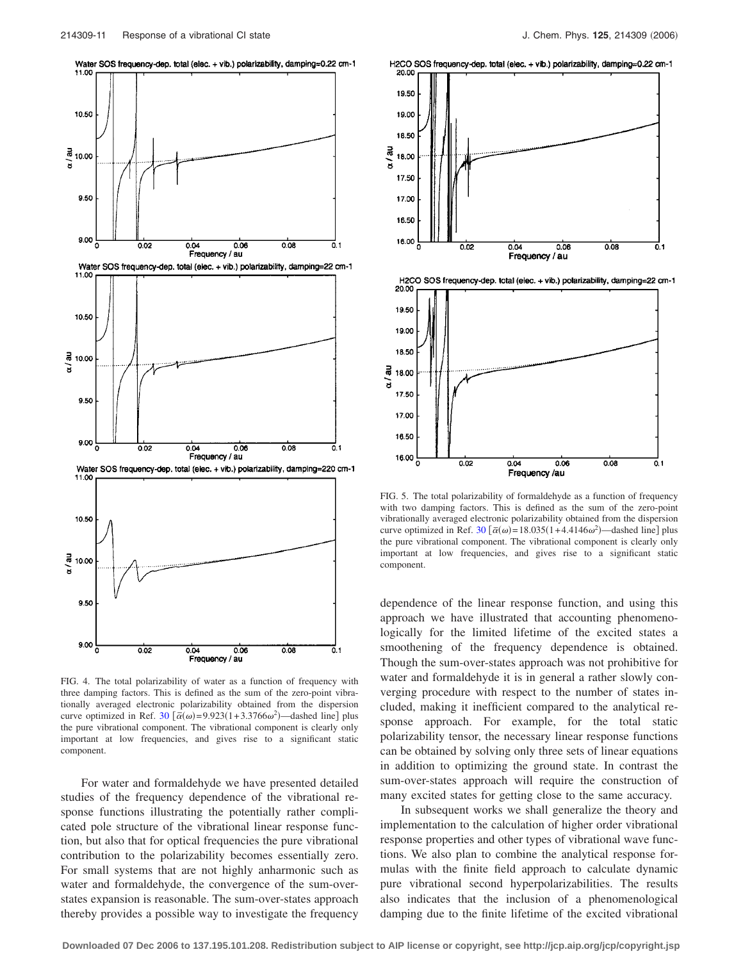Water SOS frequency-dep. total (elec. + vib.) polarizability, damping=0.22 cm-1

<span id="page-11-0"></span>

FIG. 4. The total polarizability of water as a function of frequency with three damping factors. This is defined as the sum of the zero-point vibrationally averaged electronic polarizability obtained from the dispersion curve optimized in Ref.  $30 \left[ \bar{\alpha}(\omega) = 9.923(1 + 3.3766\omega^2) \right]$  $30 \left[ \bar{\alpha}(\omega) = 9.923(1 + 3.3766\omega^2) \right]$  dashed line] plus the pure vibrational component. The vibrational component is clearly only important at low frequencies, and gives rise to a significant static component.

For water and formaldehyde we have presented detailed studies of the frequency dependence of the vibrational response functions illustrating the potentially rather complicated pole structure of the vibrational linear response function, but also that for optical frequencies the pure vibrational contribution to the polarizability becomes essentially zero. For small systems that are not highly anharmonic such as water and formaldehyde, the convergence of the sum-overstates expansion is reasonable. The sum-over-states approach thereby provides a possible way to investigate the frequency

<span id="page-11-1"></span>





FIG. 5. The total polarizability of formaldehyde as a function of frequency with two damping factors. This is defined as the sum of the zero-point vibrationally averaged electronic polarizability obtained from the dispersion curve optimized in Ref. [30](#page-12-14)  $\left[\bar{\alpha}(\omega) = 18.035(1 + 4.4146\omega^2) \right]$  dashed line plus the pure vibrational component. The vibrational component is clearly only important at low frequencies, and gives rise to a significant static component.

dependence of the linear response function, and using this approach we have illustrated that accounting phenomenologically for the limited lifetime of the excited states a smoothening of the frequency dependence is obtained. Though the sum-over-states approach was not prohibitive for water and formaldehyde it is in general a rather slowly converging procedure with respect to the number of states included, making it inefficient compared to the analytical response approach. For example, for the total static polarizability tensor, the necessary linear response functions can be obtained by solving only three sets of linear equations in addition to optimizing the ground state. In contrast the sum-over-states approach will require the construction of many excited states for getting close to the same accuracy.

In subsequent works we shall generalize the theory and implementation to the calculation of higher order vibrational response properties and other types of vibrational wave functions. We also plan to combine the analytical response formulas with the finite field approach to calculate dynamic pure vibrational second hyperpolarizabilities. The results also indicates that the inclusion of a phenomenological damping due to the finite lifetime of the excited vibrational